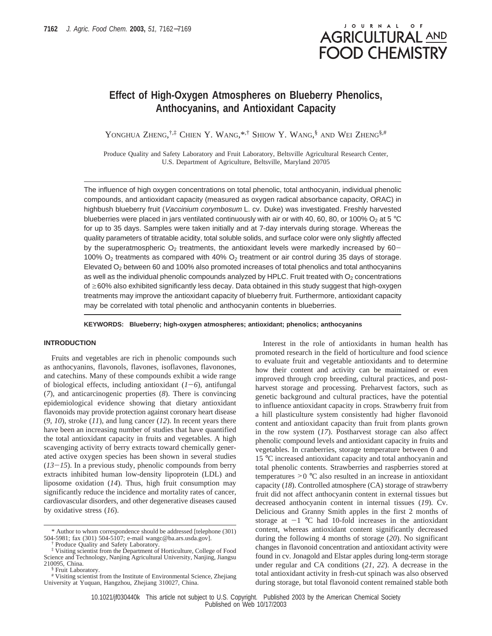# JOURNAL OF **AGRICULTURAL AND FOOD CHEMISTRY**

## **Effect of High-Oxygen Atmospheres on Blueberry Phenolics, Anthocyanins, and Antioxidant Capacity**

YONGHUA ZHENG,<sup>†,‡</sup> CHIEN Y. WANG,\*<sup>,†</sup> SHIOW Y. WANG,<sup>§</sup> AND WEI ZHENG<sup>§,#</sup>

Produce Quality and Safety Laboratory and Fruit Laboratory, Beltsville Agricultural Research Center, U.S. Department of Agriculture, Beltsville, Maryland 20705

The influence of high oxygen concentrations on total phenolic, total anthocyanin, individual phenolic compounds, and antioxidant capacity (measured as oxygen radical absorbance capacity, ORAC) in highbush blueberry fruit (*Vaccinium corymbosum* L. cv. Duke) was investigated. Freshly harvested blueberries were placed in jars ventilated continuously with air or with 40, 60, 80, or 100% O<sub>2</sub> at 5 °C for up to 35 days. Samples were taken initially and at 7-day intervals during storage. Whereas the quality parameters of titratable acidity, total soluble solids, and surface color were only slightly affected by the superatmospheric  $O_2$  treatments, the antioxidant levels were markedly increased by 60-100%  $O_2$  treatments as compared with 40%  $O_2$  treatment or air control during 35 days of storage. Elevated  $O<sub>2</sub>$  between 60 and 100% also promoted increases of total phenolics and total anthocyanins as well as the individual phenolic compounds analyzed by HPLC. Fruit treated with  $O<sub>2</sub>$  concentrations of ≥60% also exhibited significantly less decay. Data obtained in this study suggest that high-oxygen treatments may improve the antioxidant capacity of blueberry fruit. Furthermore, antioxidant capacity may be correlated with total phenolic and anthocyanin contents in blueberries.

**KEYWORDS: Blueberry; high-oxygen atmospheres; antioxidant; phenolics; anthocyanins**

### **INTRODUCTION**

Fruits and vegetables are rich in phenolic compounds such as anthocyanins, flavonols, flavones, isoflavones, flavonones, and catechins. Many of these compounds exhibit a wide range of biological effects, including antioxidant  $(1-6)$ , antifungal (*7*), and anticarcinogenic properties (*8*). There is convincing epidemiological evidence showing that dietary antioxidant flavonoids may provide protection against coronary heart disease (*9*, *10*), stroke (*11*), and lung cancer (*12*). In recent years there have been an increasing number of studies that have quantified the total antioxidant capacity in fruits and vegetables. A high scavenging activity of berry extracts toward chemically generated active oxygen species has been shown in several studies  $(13-15)$ . In a previous study, phenolic compounds from berry extracts inhibited human low-density lipoprotein (LDL) and liposome oxidation (*14*). Thus, high fruit consumption may significantly reduce the incidence and mortality rates of cancer, cardiovascular disorders, and other degenerative diseases caused by oxidative stress (*16*).

‡ Visiting scientist from the Department of Horticulture, College of Food Science and Technology, Nanjing Agricultural University, Nanjing, Jiangsu 210095, China. § Fruit Laboratory.

Interest in the role of antioxidants in human health has promoted research in the field of horticulture and food science to evaluate fruit and vegetable antioxidants and to determine how their content and activity can be maintained or even improved through crop breeding, cultural practices, and postharvest storage and processing. Preharvest factors, such as genetic background and cultural practices, have the potential to influence antioxidant capacity in crops. Strawberry fruit from a hill plasticulture system consistently had higher flavonoid content and antioxidant capacity than fruit from plants grown in the row system (*17*). Postharvest storage can also affect phenolic compound levels and antioxidant capacity in fruits and vegetables. In cranberries, storage temperature between 0 and 15 °C increased antioxidant capacity and total anthocyanin and total phenolic contents. Strawberries and raspberries stored at temperatures ><sup>0</sup> °C also resulted in an increase in antioxidant capacity (*18*). Controlled atmosphere (CA) storage of strawberry fruit did not affect anthocyanin content in external tissues but decreased anthocyanin content in internal tissues (*19*). Cv. Delicious and Granny Smith apples in the first 2 months of storage at  $-1$  °C had 10-fold increases in the antioxidant content, whereas antioxidant content significantly decreased during the following 4 months of storage (*20*). No significant changes in flavonoid concentration and antioxidant activity were found in cv. Jonagold and Elstar apples during long-term storage under regular and CA conditions (*21*, *22*). A decrease in the total antioxidant activity in fresh-cut spinach was also observed during storage, but total flavonoid content remained stable both

<sup>\*</sup> Author to whom correspondence should be addressed [telephone (301) 504-5981; fax (301) 504-5107; e-mail wangc@ba.ars.usda.gov].

<sup>†</sup> Produce Quality and Safety Laboratory.

<sup>#</sup> Visiting scientist from the Institute of Environmental Science, Zhejiang University at Yuquan, Hangzhou, Zhejiang 310027, China.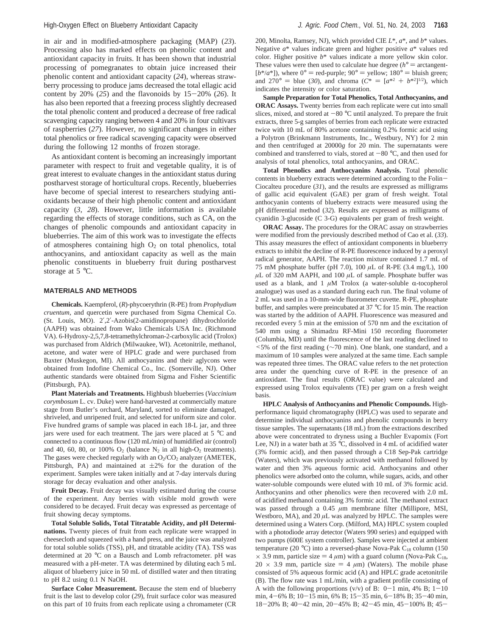in air and in modified-atmosphere packaging (MAP) (*23*). Processing also has marked effects on phenolic content and antioxidant capacity in fruits. It has been shown that industrial processing of pomegranates to obtain juice increased their phenolic content and antioxidant capacity (*24*), whereas strawberry processing to produce jams decreased the total ellagic acid content by 20% (*25*) and the flavonoids by 15-20% (*26*). It has also been reported that a freezing process slightly decreased the total phenolic content and produced a decrease of free radical scavenging capacity ranging between 4 and 20% in four cultivars of raspberries (*27*). However, no significant changes in either total phenolics or free radical scavenging capacity were observed during the following 12 months of frozen storage.

As antioxidant content is becoming an increasingly important parameter with respect to fruit and vegetable quality, it is of great interest to evaluate changes in the antioxidant status during postharvest storage of horticultural crops. Recently, blueberries have become of special interest to researchers studying antioxidants because of their high phenolic content and antioxidant capacity (*3*, *28*). However, little information is available regarding the effects of storage conditions, such as CA, on the changes of phenolic compounds and antioxidant capacity in blueberries. The aim of this work was to investigate the effects of atmospheres containing high  $O_2$  on total phenolics, total anthocyanins, and antioxidant capacity as well as the main phenolic constituents in blueberry fruit during postharvest storage at 5 °C.

## **MATERIALS AND METHODS**

**Chemicals.** Kaempferol, (*R*)-phycoerythrin (R-PE) from *Prophydium cruentum*, and quercetin were purchased from Sigma Chemical Co. (St. Louis, MO). 2′,2′-Azobis(2-amidinopropane) dihydrochloride (AAPH) was obtained from Wako Chemicals USA Inc. (Richmond VA). 6-Hydroxy-2,5,7,8-tetramethylchroman-2-carboxylic acid (Trolox) was purchased from Aldrich (Milwaukee, WI). Acetonitrile, methanol, acetone, and water were of HPLC grade and were purchased from Baxter (Muskegon, MI). All anthocyanins and their aglycons were obtained from Indofine Chemical Co., Inc. (Somerville, NJ). Other authentic standards were obtained from Sigma and Fisher Scientific (Pittsburgh, PA).

**Plant Materials and Treatments.** Highbush blueberries (*Vaccinium corymbosum* L. cv. Duke) were hand-harvested at commercially mature stage from Butler's orchard, Maryland, sorted to eliminate damaged, shriveled, and unripened fruit, and selected for uniform size and color. Five hundred grams of sample was placed in each 18-L jar, and three jars were used for each treatment. The jars were placed at 5 °C and connected to a continuous flow (120 mL/min) of humidified air (control) and 40, 60, 80, or 100%  $O_2$  (balance  $N_2$  in all high- $O_2$  treatments). The gases were checked regularly with an  $O_2/CO_2$  analyzer (AMETEK, Pittsburgh, PA) and maintained at  $\pm 2\%$  for the duration of the experiment. Samples were taken initially and at 7-day intervals during storage for decay evaluation and other analysis.

**Fruit Decay.** Fruit decay was visually estimated during the course of the experiment. Any berries with visible mold growth were considered to be decayed. Fruit decay was expressed as percentage of fruit showing decay symptoms.

**Total Soluble Solids, Total Titratable Acidity, and pH Determinations.** Twenty pieces of fruit from each replicate were wrapped in cheesecloth and squeezed with a hand press, and the juice was analyzed for total soluble solids (TSS), pH, and titratable acidity (TA). TSS was determined at 20 °C on a Bausch and Lomb refractometer. pH was measured with a pH-meter. TA was determined by diluting each 5 mL aliquot of blueberry juice in 50 mL of distilled water and then titrating to pH 8.2 using 0.1 N NaOH.

**Surface Color Measurement.** Because the stem end of blueberry fruit is the last to develop color (*29*), fruit surface color was measured on this part of 10 fruits from each replicate using a chromameter (CR

200, Minolta, Ramsey, NJ), which provided CIE *L*\*, *a*\*, and *b*\* values. Negative *a*\* values indicate green and higher positive *a*\* values red color. Higher positive *b*\* values indicate a more yellow skin color. These values were then used to calculate hue degree ( $h^{\circ}$  = arctangent- $[b^*/a^*]$ ), where  $0^\circ$  = red-purple;  $90^\circ$  = yellow;  $180^\circ$  = bluish green; and 270° = blue (30), and chroma ( $C^* = [a^{*2} + b^{*2}]^{1/2}$ ), which<br>indicates the intensity or color saturation indicates the intensity or color saturation.

**Sample Preparation for Total Phenolics, Total Anthocyanins, and ORAC Assays.** Twenty berries from each replicate were cut into small slices, mixed, and stored at  $-80$  °C until analyzed. To prepare the fruit extracts, three 5-g samples of berries from each replicate were extracted twice with 10 mL of 80% acetone containing 0.2% formic acid using a Polytron (Brinkmann Instruments, Inc., Westbury, NY) for 2 min and then centrifuged at 20000*g* for 20 min. The supernatants were combined and transferred to vials, stored at  $-80$  °C, and then used for analysis of total phenolics, total anthocyanins, and ORAC.

**Total Phenolics and Anthocyanins Analysis.** Total phenolic contents in blueberry extracts were determined according to the Folin-Ciocalteu procedure (*31*), and the results are expressed as milligrams of gallic acid equivalent (GAE) per gram of fresh weight. Total anthocyanin contents of blueberry extracts were measured using the pH differential method (*32*). Results are expressed as milligrams of cyanidin 3-glucoside (C 3-G) equivalents per gram of fresh weight.

**ORAC Assay.** The procedures for the ORAC assay on strawberries were modified from the previously described method of Cao et al. (*33*). This assay measures the effect of antioxidant components in blueberry extracts to inhibit the decline of R-PE fluorescence induced by a peroxyl radical generator, AAPH. The reaction mixture contained 1.7 mL of 75 mM phosphate buffer (pH 7.0), 100 *µ*L of R-PE (3.4 mg/L), 100  $\mu$ L of 320 mM AAPH, and 100  $\mu$ L of sample. Phosphate buffer was used as a blank, and 1  $\mu$ M Trolox (a water-soluble  $\alpha$ -tocopherol analogue) was used as a standard during each run. The final volume of 2 mL was used in a 10-mm-wide fluorometer cuvette. R-PE, phosphate buffer, and samples were preincubated at 37 °C for 15 min. The reaction was started by the addition of AAPH. Fluorescence was measured and recorded every 5 min at the emission of 570 nm and the excitation of 540 mm using a Shimadzu RF-Mini 150 recording fluorometer (Columbia, MD) until the fluorescence of the last reading declined to <5% of the first reading (∼70 min). One blank, one standard, and a maximum of 10 samples were analyzed at the same time. Each sample was repeated three times. The ORAC value refers to the net protection area under the quenching curve of R-PE in the presence of an antioxidant. The final results (ORAC value) were calculated and expressed using Trolox equivalents (TE) per gram on a fresh weight basis.

**HPLC Analysis of Anthocyanins and Phenolic Compounds.** Highperformance liquid chromatography (HPLC) was used to separate and determine individual anthocyanins and phenolic compounds in berry tissue samples. The supernatants (18 mL) from the extractions described above were concentrated to dryness using a Buchler Evapomix (Fort Lee, NJ) in a water bath at 35 °C, dissolved in 4 mL of acidified water (3% formic acid), and then passed through a C18 Sep-Pak cartridge (Waters), which was previously activated with methanol followed by water and then 3% aqueous formic acid. Anthocyanins and other phenolics were adsorbed onto the column, while sugars, acids, and other water-soluble compounds were eluted with 10 mL of 3% formic acid. Anthocyanins and other phenolics were then recovered with 2.0 mL of acidified methanol containing 3% formic acid. The methanol extract was passed through a 0.45 *µ*m membrane filter (Millipore, MSI, Westboro, MA), and 20  $\mu$ L was analyzed by HPLC. The samples were determined using a Waters Corp. (Milford, MA) HPLC system coupled with a photodiode array detector (Waters 990 series) and equipped with two pumps (600E system controller). Samples were injected at ambient temperature (20 °C) into a reversed-phase Nova-Pak  $C_{18}$  column (150  $\times$  3.9 mm, particle size = 4  $\mu$ m) with a guard column (Nova-Pak C<sub>18</sub>,  $20 \times 3.9$  mm, particle size = 4  $\mu$ m) (Waters). The mobile phase consisted of 5% aqueous formic acid (A) and HPLC grade acetonitrile (B). The flow rate was 1 mL/min, with a gradient profile consisting of A with the following proportions  $(v/v)$  of B: 0-1 min, 4% B; 1-10 min, 4-6% B; 10-15 min, 6% B; 15-35 min, 6-18% B; 35-40 min, <sup>18</sup>-20% B; 40-42 min, 20-45% B; 42-45 min, 45-100% B; 45-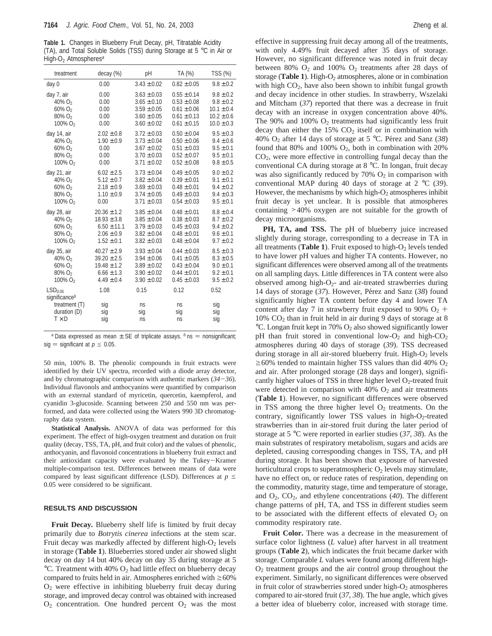**Table 1.** Changes in Blueberry Fruit Decay, pH, Titratable Acidity (TA), and Total Soluble Solids (TSS) during Storage at 5 °C in Air or High-O2 Atmospheres*<sup>a</sup>*

| treatment                                                                             | decay (%)                 | pH                      | TA (%)                  | TSS (%)                   |
|---------------------------------------------------------------------------------------|---------------------------|-------------------------|-------------------------|---------------------------|
| day 0                                                                                 | 0.00                      | $3.43 \pm 0.02$         | $0.82 \pm 0.05$         | $9.8 \pm 0.2$             |
| day 7, air                                                                            | 0.00                      | $3.63 \pm 0.03$         | $0.55 \pm 0.14$         | $9.8 \pm 0.2$             |
| 40% O <sub>2</sub>                                                                    | 0.00                      | $3.65 \pm 0.10$         | $0.53 \pm 0.08$         | $9.8 \pm 0.2$             |
| $60\%$ $O2$                                                                           | 0.00                      | $3.59 \pm 0.05$         | $0.61 \pm 0.06$         | $10.1 \pm 0.4$            |
| 80% O <sub>2</sub>                                                                    | 0.00                      | $3.60 \pm 0.05$         | $0.61 \pm 0.13$         | $10.2 \pm 0.6$            |
| 100% O <sub>2</sub>                                                                   | 0.00                      | $3.60 \pm 0.02$         | $0.61 \pm 0.15$         | $10.0 \pm 0.3$            |
| day 14, air                                                                           | $2.02 \pm 0.8$            | $3.72 \pm 0.03$         | $0.50 \pm 0.04$         | $9.5 \pm 0.3$             |
| 40% O <sub>2</sub>                                                                    | $1.90 \pm 0.9$            | $3.73 \pm 0.04$         | $0.50 \pm 0.06$         | $9.4 \pm 0.6$             |
| $60\%$ $O2$                                                                           | 0.00                      | $3.67 \pm 0.02$         | $0.51 \pm 0.03$         | $9.5 \pm 0.1$             |
| 80% O <sub>2</sub>                                                                    | 0.00                      | $3.70 \pm 0.03$         | $0.52 \pm 0.07$         | $9.5 \pm 0.1$             |
| $100\% O_2$                                                                           | 0.00                      | $3.71 \pm 0.02$         | $0.52 \pm 0.08$         | $9.8 \pm 0.5$             |
| day 21, air                                                                           | $6.02 \pm 2.5$            | $3.73 \pm 0.04$         | $0.49 \pm 0.05$         | $9.0 \pm 0.2$             |
| 40% O <sub>2</sub>                                                                    | $5.12 \pm 0.7$            | $3.82 \pm 0.04$         | $0.39 \pm 0.01$         | $9.1 \pm 0.1$             |
| $60\%$ $O2$                                                                           | $2.18 \pm 0.9$            | $3.69 \pm 0.03$         | $0.48 \pm 0.01$         | $9.4 \pm 0.2$             |
| 80% O <sub>2</sub>                                                                    | $1.10 \pm 0.9$            | $3.74 \pm 0.05$         | $0.49 \pm 0.03$         | $9.4 \pm 0.3$             |
| 100% O <sub>2</sub>                                                                   | 0.00                      | $3.71 \pm 0.03$         | $0.54 \pm 0.03$         | $9.5 \pm 0.1$             |
| day 28, air                                                                           | $20.36 \pm 1.2$           | $3.85 \pm 0.04$         | $0.48 \pm 0.01$         | $8.8 \pm 0.4$             |
| 40% O <sub>2</sub>                                                                    | $18.93 \pm 3.8$           | $3.85 \pm 0.04$         | $0.38 \pm 0.03$         | $8.7 \pm 0.2$             |
| 60% O <sub>2</sub>                                                                    | $6.50 \pm 11.1$           | $3.79 \pm 0.03$         | $0.45 \pm 0.03$         | $9.4 \pm 0.2$             |
| 80% O <sub>2</sub>                                                                    | $2.06 \pm 0.9$            | $3.82 \pm 0.04$         | $0.48 \pm 0.01$         | $9.6 \pm 0.1$             |
| 100% O <sub>2</sub>                                                                   | $1.52 \pm 0.1$            | $3.82 \pm 0.03$         | $0.48 \pm 0.04$         | $9.7 \pm 0.2$             |
| day 35, air                                                                           | $40.27 \pm 2.9$           | $3.93 \pm 0.04$         | $0.44 \pm 0.03$         | $8.5 \pm 0.3$             |
| 40% O <sub>2</sub>                                                                    | $39.20 \pm 2.5$           | $3.94 \pm 0.06$         | $0.41 \pm 0.05$         | $8.3 \pm 0.5$             |
| $60\%$ $O_2$                                                                          | $19.48 \pm 1.2$           | $3.89 \pm 0.02$         | $0.43 \pm 0.04$         | $9.0 \pm 0.1$             |
| 80% O <sub>2</sub>                                                                    | $6.66 \pm 1.3$            | $3.90 \pm 0.02$         | $0.44 \pm 0.01$         | $9.2 \pm 0.1$             |
| 100% O <sub>2</sub>                                                                   | $4.49 \pm 0.4$            | $3.90 \pm 0.02$         | $0.45 \pm 0.03$         | $9.5 \pm 0.2$             |
| LSD <sub>0.05</sub><br>significanceb<br>treatment (T)<br>duration (D)<br>$T \times D$ | 1.08<br>sig<br>sig<br>sig | 0.15<br>ns<br>sig<br>ns | 0.12<br>ns<br>sig<br>ns | 0.52<br>sig<br>sig<br>sig |

*a* Data expressed as mean  $\pm$  SE of triplicate assays.  $b$  ns = nonsignificant;  $sig =$  significant at  $p \le 0.05$ .

50 min, 100% B. The phenolic compounds in fruit extracts were identified by their UV spectra, recorded with a diode array detector, and by chromatographic comparison with authentic markers (*34*-*36*). Individual flavonols and anthocyanins were quantified by comparison with an external standard of myricetin, quercetin, kaempferol, and cyanidin 3-glucoside. Scanning between 250 and 550 nm was performed, and data were collected using the Waters 990 3D chromatography data system.

**Statistical Analysis.** ANOVA of data was performed for this experiment. The effect of high-oxygen treatment and duration on fruit quality (decay, TSS, TA, pH, and fruit color) and the values of phenolic, anthocyanin, and flavonoid concentrations in blueberry fruit extract and their antioxidant capacity were evaluated by the Tukey-Kramer multiple-comparison test. Differences between means of data were compared by least significant difference (LSD). Differences at  $p \le$ 0.05 were considered to be significant.

#### **RESULTS AND DISCUSSION**

**Fruit Decay.** Blueberry shelf life is limited by fruit decay primarily due to *Botrytis cinerea* infections at the stem scar. Fruit decay was markedly affected by different high- $O<sub>2</sub>$  levels in storage (**Table 1**). Blueberries stored under air showed slight decay on day 14 but 40% decay on day 35 during storage at 5  $^{\circ}$ C. Treatment with 40% O<sub>2</sub> had little effect on blueberry decay compared to fruits held in air. Atmospheres enriched with  $\geq 60\%$  $O<sub>2</sub>$  were effective in inhibiting blueberry fruit decay during storage, and improved decay control was obtained with increased  $O<sub>2</sub>$  concentration. One hundred percent  $O<sub>2</sub>$  was the most

effective in suppressing fruit decay among all of the treatments, with only 4.49% fruit decayed after 35 days of storage. However, no significant difference was noted in fruit decay between  $80\%$  O<sub>2</sub> and  $100\%$  O<sub>2</sub> treatments after 28 days of storage (Table 1). High-O<sub>2</sub> atmospheres, alone or in combination with high  $CO<sub>2</sub>$ , have also been shown to inhibit fungal growth and decay incidence in other studies. In strawberry, Wszelaki and Mitcham (*37*) reported that there was a decrease in fruit decay with an increase in oxygen concentration above 40%. The 90% and 100%  $O_2$  treatments had significantly less fruit decay than either the  $15\%$  CO<sub>2</sub> itself or in combination with 40% O<sub>2</sub> after 14 days of storage at 5 °C. Pérez and Sanz (38) found that 80% and 100%  $O_2$ , both in combination with 20% CO2, were more effective in controlling fungal decay than the conventional CA during storage at 8 °C. In longan, fruit decay was also significantly reduced by  $70\%$  O<sub>2</sub> in comparison with conventional MAP during 40 days of storage at 2 °C (*39*). However, the mechanisms by which high- $O_2$  atmospheres inhibit fruit decay is yet unclear. It is possible that atmospheres containing >40% oxygen are not suitable for the growth of decay microorganisms.

**PH, TA, and TSS.** The pH of blueberry juice increased slightly during storage, corresponding to a decrease in TA in all treatments (**Table 1**). Fruit exposed to high- $O_2$  levels tended to have lower pH values and higher TA contents. However, no significant differences were observed among all of the treatments on all sampling days. Little differences in TA content were also observed among high- $O_{2}$ - and air-treated strawberries during 14 days of storage (37). However, Pérez and Sanz (38) found significantly higher TA content before day 4 and lower TA content after day 7 in strawberry fruit exposed to 90%  $O_2$  + 10% CO2 than in fruit held in air during 9 days of storage at 8 °C. Longan fruit kept in 70% O2 also showed significantly lower pH than fruit stored in conventional low- $O_2$  and high- $CO_2$ atmospheres during 40 days of storage (*39*). TSS decreased during storage in all air-stored blueberry fruit. High- $O_2$  levels  $\geq$  60% tended to maintain higher TSS values than did 40% O<sub>2</sub> and air. After prolonged storage (28 days and longer), significantly higher values of TSS in three higher level  $O<sub>2</sub>$ -treated fruit were detected in comparison with  $40\%$  O<sub>2</sub> and air treatments (**Table 1**). However, no significant differences were observed in TSS among the three higher level  $O_2$  treatments. On the contrary, significantly lower TSS values in high-O<sub>2</sub>-treated strawberries than in air-stored fruit during the later period of storage at 5 °C were reported in earlier studies (*37*, *38*). As the main substrates of respiratory metabolism, sugars and acids are depleted, causing corresponding changes in TSS, TA, and pH during storage. It has been shown that exposure of harvested horticultural crops to superatmospheric  $O_2$  levels may stimulate, have no effect on, or reduce rates of respiration, depending on the commodity, maturity stage, time and temperature of storage, and O2, CO2, and ethylene concentrations (*40*). The different change patterns of pH, TA, and TSS in different studies seem to be associated with the different effects of elevated  $O_2$  on commodity respiratory rate.

**Fruit Color.** There was a decrease in the measurement of surface color lightness (*L* value) after harvest in all treatment groups (**Table 2**), which indicates the fruit became darker with storage. Comparable *L* values were found among different high-O2 treatment groups and the air control group throughout the experiment. Similarly, no significant differences were observed in fruit color of strawberries stored under high- $O<sub>2</sub>$  atmospheres compared to air-stored fruit (*37*, *38*). The hue angle, which gives a better idea of blueberry color, increased with storage time.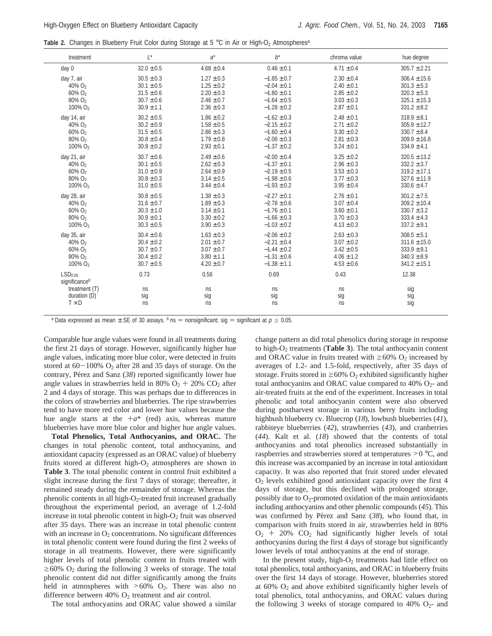Table 2. Changes in Blueberry Fruit Color during Storage at 5 °C in Air or High-O<sub>2</sub> Atmospheres<sup>a</sup>

| treatment                                                                                         | $L^*$                   | $a^*$                          | $b^*$                   | chroma value            | hue degree                 |
|---------------------------------------------------------------------------------------------------|-------------------------|--------------------------------|-------------------------|-------------------------|----------------------------|
| day 0                                                                                             | $32.0 \pm 0.5$          | $4.68 \pm 0.4$                 | $0.46 \pm 0.1$          | $4.71 \pm 0.4$          | $305.7 \pm 2.21$           |
| day 7, air                                                                                        | $30.5 \pm 0.3$          | $1.27 \pm 0.3$                 | $-1.85 \pm 0.7$         | $2.30 \pm 0.4$          | $306.4 \pm 15.6$           |
| $40\%$ O <sub>2</sub>                                                                             | $30.1 \pm 0.5$          | $1.25 \pm 0.2$                 | $-2.04 \pm 0.1$         | $2.40 \pm 0.1$          | $301.3 \pm 5.3$            |
| $60\%$ O <sub>2</sub>                                                                             | $31.5 \pm 0.6$          | $2.20 \pm 0.3$                 | $-1.80 \pm 0.1$         | $2.85 \pm 0.2$          | $320.3 + 5.3$              |
| 80% O <sub>2</sub>                                                                                | $30.7 \pm 0.6$          | $2.46 \pm 0.7$                 | $-1.64 \pm 0.5$         | $3.03 \pm 0.3$          | $325.1 \pm 15.3$           |
| 100% O <sub>2</sub>                                                                               | $30.9 \pm 1.1$          | $2.36 \pm 0.3$                 | $-1.28 \pm 0.2$         | $2.87 \pm 0.1$          | $331.2 \pm 8.2$            |
| day 14, air                                                                                       | $30.2 \pm 0.5$          | $1.86 \pm 0.2$                 | $-1.62 \pm 0.3$         | $2.48 \pm 0.1$          | $318.9 \pm 8.1$            |
| 40% O <sub>2</sub>                                                                                | $30.2 \pm 0.9$          | $1.58 \pm 0.5$                 | $-2.15 \pm 0.2$         | $2.71 \pm 0.2$          | $305.9 \pm 12.7$           |
| $60\%$ O <sub>2</sub>                                                                             | $31.5 \pm 0.5$          | $2.86 \pm 0.3$                 | $-1.60 \pm 0.4$         | $3.30 \pm 0.2$          | $330.7 \pm 8.4$            |
| 80% O <sub>2</sub>                                                                                | $30.8 \pm 0.4$          | $1.79 \pm 0.8$                 | $-2.06 \pm 0.3$         | $2.81 \pm 0.3$          | $309.9 \pm 16.8$           |
| 100% O <sub>2</sub>                                                                               | $30.9 \pm 0.2$          | $2.93 \pm 0.1$                 | $-1.37 \pm 0.2$         | $3.24 \pm 0.1$          | $334.9 \pm 4.1$            |
| day 21, air                                                                                       | $30.7 \pm 0.6$          | $2.49 \pm 0.6$                 | $-2.00 \pm 0.4$         | $3.25 \pm 0.2$          | $320.5 \pm 13.2$           |
| 40% O <sub>2</sub>                                                                                | $30.1 \pm 0.5$          | $2.62 \pm 0.3$                 | $-1.37 \pm 0.1$         | $2.96 \pm 0.3$          | $332.2 \pm 3.7$            |
| $60\%$ O <sub>2</sub>                                                                             | $31.0 \pm 0.9$          | $2.64 \pm 0.9$                 | $-2.19 \pm 0.5$         | $3.53 \pm 0.3$          | $319.2 \pm 17.1$           |
| 80% O <sub>2</sub>                                                                                | $30.8 \pm 0.3$          | $3.14 \pm 0.5$                 | $-1.98 \pm 0.6$         | $3.77 \pm 0.3$          | $327.6 \pm 11.9$           |
| 100% O <sub>2</sub>                                                                               | $31.0 \pm 0.5$          | $3.44 \pm 0.4$                 | $-1.93 \pm 0.2$         | $3.95 \pm 0.4$          | $330.6 \pm 4.7$            |
| day 28, air                                                                                       | $30.8 \pm 0.5$          | $1.38 \pm 0.3$                 | $-2.27 \pm 0.1$         | $2.76 \pm 0.1$          | $301.2 \pm 7.5$            |
| 40% O <sub>2</sub>                                                                                | $31.6 \pm 0.7$          | $1.89 \pm 0.3$                 | $-2.78 \pm 0.6$         | $3.07 \pm 0.4$          | $309.2 \pm 10.4$           |
| $60\%$ O <sub>2</sub>                                                                             | $30.3 \pm 1.0$          | $3.14 \pm 0.1$                 | $-1.76 \pm 0.1$         | $3.60 \pm 0.1$          | $330.7 \pm 3.2$            |
| 80% O <sub>2</sub>                                                                                | $30.9 \pm 0.1$          | $3.30 \pm 0.2$                 | $-1.66 \pm 0.3$         | $3.70 \pm 0.3$          | $333.4 \pm 4.3$            |
| 100% O <sub>2</sub>                                                                               | $30.3 \pm 0.5$          | $3.90 \pm 0.3$                 | $-1.03 \pm 0.2$         | $4.13 \pm 0.3$          | $337.2 \pm 9.1$            |
| day 35, air                                                                                       | $30.4 \pm 0.6$          | $1.63 \pm 0.3$                 | $-2.06 \pm 0.2$         | $2.63 \pm 0.3$          | $308.5 \pm 5.1$            |
| $40\%$ O <sub>2</sub>                                                                             | $30.4 \pm 0.2$          | $2.01 \pm 0.7$                 | $-2.21 \pm 0.4$         | $3.07 \pm 0.2$          | $311.6 \pm 15.0$           |
| $60\%$ O <sub>2</sub>                                                                             | $30.7 \pm 0.7$          | $3.07 \pm 0.7$                 | $-1.44 \pm 0.2$         | $3.42 \pm 0.5$          | $333.9 \pm 9.1$            |
| 80% O <sub>2</sub>                                                                                | $30.4 \pm 0.2$          | $3.80 \pm 1.1$                 | $-1.31 \pm 0.6$         | $4.06 \pm 1.2$          | $340.3 \pm 8.9$            |
| 100% O <sub>2</sub>                                                                               | $30.7 \pm 0.5$          | $4.20 \pm 0.7$                 | $-1.38 \pm 1.1$         | $4.53 \pm 0.6$          | $341.2 \pm 15.1$           |
| LSD <sub>0.05</sub><br>significance <sup>b</sup><br>treatment (T)<br>duration (D)<br>$T \times D$ | 0.73<br>ns<br>sig<br>ns | 0.56<br><b>ns</b><br>sig<br>ns | 0.69<br>ns<br>sig<br>ns | 0.43<br>ns<br>sig<br>ns | 12.38<br>sig<br>sig<br>sig |

*a* Data expressed as mean  $\pm$  SE of 30 assays. *b* ns = nonsignificant; sig = significant at  $p \le 0.05$ .

Comparable hue angle values were found in all treatments during the first 21 days of storage. However, significantly higher hue angle values, indicating more blue color, were detected in fruits stored at  $60-100\%$  O<sub>2</sub> after 28 and 35 days of storage. On the contrary, Pérez and Sanz (38) reported significantly lower hue angle values in strawberries held in 80%  $O_2 + 20$ %  $CO_2$  after 2 and 4 days of storage. This was perhaps due to differences in the colors of strawberries and blueberries. The ripe strawberries tend to have more red color and lower hue values because the hue angle starts at the +*a*\* (red) axis, whereas mature blueberries have more blue color and higher hue angle values.

**Total Phenolics, Total Anthocyanins, and ORAC.** The changes in total phenolic content, total anthocyanins, and antioxidant capacity (expressed as an ORAC value) of blueberry fruits stored at different high- $O<sub>2</sub>$  atmospheres are shown in **Table 3**. The total phenolic content in control fruit exhibited a slight increase during the first 7 days of storage; thereafter, it remained steady during the remainder of storage. Whereas the phenolic contents in all high- $O_2$ -treated fruit increased gradually throughout the experimental period, an average of 1.2-fold increase in total phenolic content in high- $O<sub>2</sub>$  fruit was observed after 35 days. There was an increase in total phenolic content with an increase in  $O_2$  concentrations. No significant differences in total phenolic content were found during the first 2 weeks of storage in all treatments. However, there were significantly higher levels of total phenolic content in fruits treated with  $\geq 60\%$  O<sub>2</sub> during the following 3 weeks of storage. The total phenolic content did not differ significantly among the fruits held in atmospheres with  $>60\%$  O<sub>2</sub>. There was also no difference between  $40\%$  O<sub>2</sub> treatment and air control.

The total anthocyanins and ORAC value showed a similar

change pattern as did total phenolics during storage in response to high-O2 treatments (**Table 3**). The total anthocyanin content and ORAC value in fruits treated with  $\geq 60\%$  O<sub>2</sub> increased by averages of 1.2- and 1.5-fold, respectively, after 35 days of storage. Fruits stored in  $\geq 60\%$  O<sub>2</sub> exhibited significantly higher total anthocyanins and ORAC value compared to  $40\%$  O<sub>2</sub>- and air-treated fruits at the end of the experiment. Increases in total phenolic and total anthocyanin content were also observed during postharvest storage in various berry fruits including highbush blueberry cv. Bluecrop (*18*), lowbush blueberries (*41*), rabbiteye blueberries (*42*), strawberries (*43*), and cranberries (*44*). Kalt et al. (*18*) showed that the contents of total anthocyanins and total phenolics increased substantially in raspberries and strawberries stored at temperatures  $>0$  °C, and this increase was accompanied by an increase in total antioxidant capacity. It was also reported that fruit stored under elevated O2 levels exhibited good antioxidant capacity over the first 4 days of storage, but this declined with prolonged storage, possibly due to  $O_2$ -promoted oxidation of the main antioxidants including anthocyanins and other phenolic compounds (*45*). This was confirmed by Pérez and Sanz (38), who found that, in comparison with fruits stored in air, strawberries held in 80%  $O_2$  + 20%  $CO_2$  had significantly higher levels of total anthocyanins during the first 4 days of storage but significantly lower levels of total anthocyanins at the end of storage.

In the present study, high- $O_2$  treatments had little effect on total phenolics, total anthocyanins, and ORAC in blueberry fruits over the first 14 days of storage. However, blueberries stored at  $60\%$  O<sub>2</sub> and above exhibited significantly higher levels of total phenolics, total anthocyanins, and ORAC values during the following 3 weeks of storage compared to 40%  $O<sub>2</sub>$ - and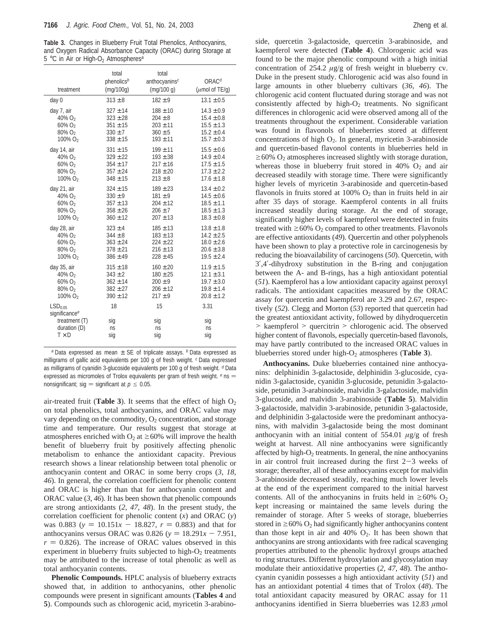**Table 3.** Changes in Blueberry Fruit Total Phenolics, Anthocyanins, and Oxygen Radical Absorbance Capacity (ORAC) during Storage at 5 °C in Air or High-O<sub>2</sub> Atmospheres<sup>a</sup>

| treatment                                                                                         | total<br>phenolics <sup>b</sup><br>(mq/100q) | total<br>anthocyanins $c$<br>(mq/100 q) | ORAC <sup>d</sup><br>( $\mu$ mol of TE/q) |
|---------------------------------------------------------------------------------------------------|----------------------------------------------|-----------------------------------------|-------------------------------------------|
| day 0                                                                                             | $313 \pm 8$                                  | $182 + 9$                               | $13.1 \pm 0.5$                            |
| day 7, air                                                                                        | $327 \pm 14$                                 | $188 \pm 10$                            | $14.3 \pm 0.9$                            |
| 40% O <sub>2</sub>                                                                                | $323 \pm 28$                                 | $204 \pm 8$                             | $15.4 \pm 0.8$                            |
| 60% O <sub>2</sub>                                                                                | $351 \pm 15$                                 | $203 \pm 11$                            | $15.5 \pm 1.3$                            |
| 80% O <sub>2</sub>                                                                                | $330 \pm 7$                                  | $360 \pm 5$                             | $15.2 \pm 0.4$                            |
| 100% O <sub>2</sub>                                                                               | $338 \pm 15$                                 | $193 \pm 11$                            | $15.7 \pm 0.3$                            |
| day 14, air                                                                                       | $331 \pm 15$                                 | $199 \pm 11$                            | $15.5 \pm 0.6$                            |
| 40% O <sub>2</sub>                                                                                | $329 \pm 22$                                 | $193 \pm 38$                            | $14.9 \pm 0.4$                            |
| $60\% O_2$                                                                                        | $354 \pm 17$                                 | $217 \pm 16$                            | $17.5 \pm 1.5$                            |
| 80% O <sub>2</sub>                                                                                | $357 \pm 24$                                 | $218 \pm 20$                            | $17.3 \pm 2.2$                            |
| 100% O <sub>2</sub>                                                                               | $348 \pm 15$                                 | $213 \pm 8$                             | $17.6 \pm 1.8$                            |
| day 21, air                                                                                       | $324 \pm 15$                                 | $189 \pm 23$                            | $13.4 \pm 0.2$                            |
| 40% O <sub>2</sub>                                                                                | $330 \pm 9$                                  | $181 + 9$                               | $14.5 \pm 0.6$                            |
| $60\%$ $O_2$                                                                                      | $357 \pm 13$                                 | $204 \pm 12$                            | $18.5 \pm 1.1$                            |
| 80% O <sub>2</sub>                                                                                | $358 \pm 26$                                 | $206 \pm 7$                             | $18.5 \pm 1.3$                            |
| 100% O <sub>2</sub>                                                                               | $360 \pm 12$                                 | $207 \pm 13$                            | $18.3 \pm 0.8$                            |
| day 28, air                                                                                       | $323 \pm 4$                                  | $185 \pm 13$                            | $13.8 \pm 1.8$                            |
| 40% O <sub>2</sub>                                                                                | $344 \pm 8$                                  | $183 \pm 13$                            | $14.2 \pm 2.5$                            |
| $60\% O_2$                                                                                        | $363 \pm 24$                                 | $224 \pm 22$                            | $18.0 \pm 2.6$                            |
| $80\%$ O <sub>2</sub>                                                                             | $378 \pm 21$                                 | $216 \pm 13$                            | $20.6 \pm 3.8$                            |
| 100% O <sub>2</sub>                                                                               | $386 \pm 49$                                 | $228 \pm 45$                            | $19.5 \pm 2.4$                            |
| day 35, air                                                                                       | $315 \pm 18$                                 | $160 \pm 20$                            | $11.9 \pm 1.5$                            |
| 40% O <sub>2</sub>                                                                                | $343 \pm 2$                                  | $180 \pm 25$                            | $12.1 \pm 3.1$                            |
| $60\% O_2$                                                                                        | $362 \pm 14$                                 | $200 \pm 9$                             | $19.7 \pm 3.0$                            |
| 80% O <sub>2</sub>                                                                                | $382 \pm 27$                                 | $206 \pm 12$                            | $19.8 \pm 1.4$                            |
| 100% O <sub>2</sub>                                                                               | $390 \pm 12$                                 | $217 + 9$                               | $20.8 \pm 1.2$                            |
| LSD <sub>0.05</sub><br>significance <sup>e</sup><br>treatment (T)<br>duration (D)<br>$T \times D$ | 18<br>sig<br>ns<br>sig                       | 15<br>sig<br>ns<br>sig                  | 3.31<br>sig<br>ns<br>sig                  |

*<sup>a</sup>* Data expressed as mean ± SE of triplicate assays. *<sup>b</sup>* Data expressed as milligrams of gallic acid equivalents per 100 g of fresh weight. *<sup>c</sup>* Data expressed as milligrams of cyanidin 3-glucoside equivalents per 100 g of fresh weight. *<sup>d</sup>* Data expressed as micromoles of Trolox equivalents per gram of fresh weight. <sup>*e*</sup> ns = nonsignificant; sig = significant at  $p \le 0.05$ .

air-treated fruit (**Table 3**). It seems that the effect of high  $O_2$ on total phenolics, total anthocyanins, and ORAC value may vary depending on the commodity,  $O_2$  concentration, and storage time and temperature. Our results suggest that storage at atmospheres enriched with  $O_2$  at  $\geq 60\%$  will improve the health benefit of blueberry fruit by positively affecting phenolic metabolism to enhance the antioxidant capacity. Previous research shows a linear relationship between total phenolic or anthocyanin content and ORAC in some berry crops (*3*, *18*, *46*). In general, the correlation coefficient for phenolic content and ORAC is higher than that for anthocyanin content and ORAC value  $(3, 46)$ . It has been shown that phenolic compounds are strong antioxidants (*2*, *47*, *48*). In the present study, the correlation coefficient for phenolic content (*x*) and ORAC (*y*) was 0.883 ( $y = 10.151x - 18.827$ ,  $r = 0.883$ ) and that for anthocyanins versus ORAC was 0.826 ( $y = 18.291x - 7.951$ ,  $r = 0.826$ ). The increase of ORAC values observed in this experiment in blueberry fruits subjected to high- $O<sub>2</sub>$  treatments may be attributed to the increase of total phenolic as well as total anthocyanin contents.

**Phenolic Compounds.** HPLC analysis of blueberry extracts showed that, in addition to anthocyanins, other phenolic compounds were present in significant amounts (**Tables 4** and **5**). Compounds such as chlorogenic acid, myricetin 3-arabino-

side, quercetin 3-galactoside, quercetin 3-arabinoside, and kaempferol were detected (**Table 4**). Chlorogenic acid was found to be the major phenolic compound with a high initial concentration of 254.2 *µ*g/g of fresh weight in blueberry cv. Duke in the present study. Chlorogenic acid was also found in large amounts in other blueberry cultivars (*36*, *46*). The chlorogenic acid content fluctuated during storage and was not consistently affected by high- $O<sub>2</sub>$  treatments. No significant differences in chlorogenic acid were observed among all of the treatments throughout the experiment. Considerable variation was found in flavonols of blueberries stored at different concentrations of high  $O_2$ . In general, myricetin 3-arabinoside and quercetin-based flavonol contents in blueberries held in  $\geq 60\%$  O<sub>2</sub> atmospheres increased slightly with storage duration, whereas those in blueberry fruit stored in 40%  $O_2$  and air decreased steadily with storage time. There were significantly higher levels of myricetin 3-arabinoside and quercetin-based flavonols in fruits stored at  $100\%$  O<sub>2</sub> than in fruits held in air after 35 days of storage. Kaempferol contents in all fruits increased steadily during storage. At the end of storage, significantly higher levels of kaempferol were detected in fruits treated with  $\geq 60\%$  O<sub>2</sub> compared to other treatments. Flavonols are effective antioxidants (*49*). Quercertin and other polyphenols have been shown to play a protective role in carcinogenesis by reducing the bioavailability of carcinogens (*50*). Quercetin, with 3′,4′-dihydroxy substitution in the B-ring and conjugation between the A- and B-rings, has a high antioxidant potential (*51*). Kaempferol has a low antioxidant capacity against peroxyl radicals. The antioxidant capacities measured by the ORAC assay for quercetin and kaempferol are 3.29 and 2.67, respectively (*52*). Clegg and Morton (*53*) reported that quercetin had the greatest antioxidant activity, followed by dihydroquercetin > kaempferol > quercitrin > chlorogenic acid. The observed higher content of flavonols, especially quercetin-based flavonols, may have partly contributed to the increased ORAC values in blueberries stored under high-O2 atmospheres (**Table 3**).

**Anthocyanins.** Duke blueberries contained nine anthocyanins: delphinidin 3-galactoside, delphinidin 3-glucoside, cyanidin 3-galactoside, cyanidin 3-glucoside, petunidin 3-galactoside, petunidin 3-arabinoside, malvidin 3-galactoside, malvidin 3-glucoside, and malvidin 3-arabinoside (**Table 5**). Malvidin 3-galactoside, malvidin 3-arabinoside, petunidin 3-galactoside, and delphinidin 3-galactoside were the predominant anthocyanins, with malvidin 3-galactoside being the most dominant anthocyanin with an initial content of 554.01 *µ*g/g of fresh weight at harvest. All nine anthocyanins were significantly affected by high-O<sub>2</sub> treatments. In general, the nine anthocyanins in air control fruit increased during the first  $2-3$  weeks of storage; thereafter, all of these anthocyanins except for malvidin 3-arabinoside decreased steadily, reaching much lower levels at the end of the experiment compared to the initial harvest contents. All of the anthocyanins in fruits held in  $\geq 60\%$  O<sub>2</sub> kept increasing or maintained the same levels during the remainder of storage. After 5 weeks of storage, blueberries stored in  $\geq 60\%$  O<sub>2</sub> had significantly higher anthocyanins content than those kept in air and  $40\%$   $O_2$ . It has been shown that anthocyanins are strong antioxidants with free radical scavenging properties attributed to the phenolic hydroxyl groups attached to ring structures. Different hydroxylation and glycosylation may modulate their antioxidative properties (*2*, *47*, *48*). The anthocyanin cyanidin possesses a high antioxidant activity (*51*) and has an antioxidant potential 4 times that of Trolox (*48*). The total antioxidant capacity measured by ORAC assay for 11 anthocyanins identified in Sierra blueberries was 12.83 *µ*mol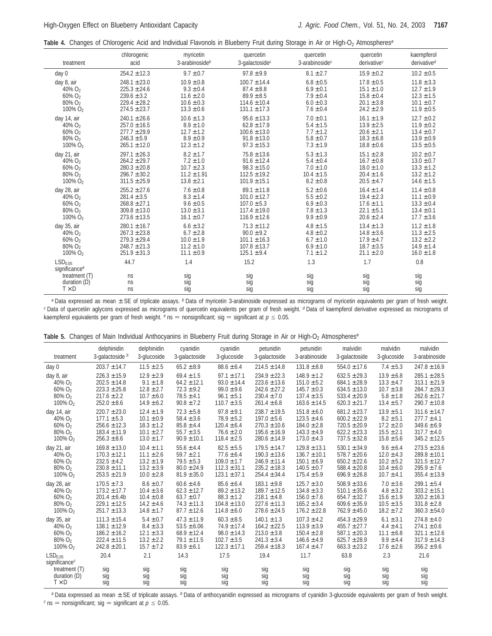Table 4. Changes of Chlorogenic Acid and Individual Flavonols in Blueberry Fruit during Storage in Air or High-O<sub>2</sub> Atmospheres<sup>a</sup>

| treatment                                                                                         | chlorogenic            | myricetin                | quercetin                 | quercetin                | quercetin                | kaempferol                           |
|---------------------------------------------------------------------------------------------------|------------------------|--------------------------|---------------------------|--------------------------|--------------------------|--------------------------------------|
|                                                                                                   | acid                   | 3-arabinoside $b$        | 3-qalactoside $c$         | 3-arabinoside $c$        | derivative $c$           | derivative <sup><math>d</math></sup> |
| day 0                                                                                             | $254.2 \pm 12.3$       | $9.7 \pm 0.7$            | $97.8 \pm 9.9$            | $8.1 \pm 2.7$            | $15.9 \pm 0.2$           | $10.2 \pm 0.5$                       |
| day 8, air                                                                                        | $248.1 \pm 23.0$       | $10.9 \pm 0.8$           | $100.7 \pm 14.4$          | $6.8 \pm 0.5$            | $17.8 \pm 0.5$           | $11.8 \pm 3.3$                       |
| $40\%$ O <sub>2</sub>                                                                             | $225.3 \pm 24.6$       | $9.3 \pm 0.4$            | $87.4 \pm 8.8$            | $6.9 \pm 0.1$            | $15.1 \pm 1.0$           | $12.7 \pm 1.9$                       |
| 60% O <sub>2</sub>                                                                                | $239.6 \pm 3.2$        | $11.6 \pm 2.0$           | $89.9 + 8.5$              | $7.9 \pm 0.4$            | $15.8 \pm 0.4$           | $12.3 \pm 1.5$                       |
| 80% O <sub>2</sub>                                                                                | $229.4 \pm 28.2$       | $10.6 \pm 0.3$           | $114.6 \pm 10.4$          | $6.0 \pm 0.3$            | $20.1 \pm 3.8$           | $10.1 \pm 0.7$                       |
| 100% O <sub>2</sub>                                                                               | $274.5 \pm 23.7$       | $13.3 \pm 0.6$           | $131.1 \pm 17.3$          | $7.6 \pm 0.4$            | $24.2 \pm 2.9$           | $11.9 \pm 0.5$                       |
| day 14, air                                                                                       | $240.1 \pm 26.6$       | $10.6 \pm 1.3$           | $95.6 \pm 13.3$           | $7.0 \pm 0.1$            | $16.1 \pm 1.9$           | $12.7 \pm 0.2$                       |
| 40% O <sub>2</sub>                                                                                | $257.0 \pm 16.5$       | $8.9 \pm 1.0$            | $62.8 \pm 17.9$           | $5.4 \pm 1.5$            | $13.9 \pm 2.5$           | $11.9 \pm 0.2$                       |
| $60\%$ O <sub>2</sub>                                                                             | $277.7 \pm 29.9$       | $12.7 \pm 1.2$           | $100.6 \pm 13.0$          | $7.7 \pm 1.2$            | $20.6 \pm 2.1$           | $13.4 \pm 0.7$                       |
| 80% O <sub>2</sub>                                                                                | $246.3 \pm 5.9$        | $8.9 \pm 0.9$            | $91.8 \pm 13.0$           | $5.8 \pm 0.7$            | $18.3 \pm 6.8$           | $13.9 \pm 0.9$                       |
| 100% O <sub>2</sub>                                                                               | $265.1 \pm 12.0$       | $12.3 \pm 1.2$           | $97.3 \pm 15.3$           | $7.3 \pm 1.9$            | $18.8 \pm 0.6$           | $13.5 \pm 0.5$                       |
| day 21, air                                                                                       | $297.1 \pm 26.3$       | $8.2 \pm 1.7$            | $75.8 \pm 13.6$           | $5.3 \pm 1.3$            | $15.1 \pm 2.8$           | $10.2 \pm 0.7$                       |
| $40\%$ O <sub>2</sub>                                                                             | $264.2 \pm 29.7$       | $7.2 \pm 1.0$            | $91.6 \pm 12.4$           | $5.4 \pm 0.4$            | $16.7 \pm 0.8$           | $13.0 \pm 0.7$                       |
| $60\%$ O <sub>2</sub>                                                                             | $280.3 \pm 20.8$       | $10.7 \pm 2.3$           | $98.3 \pm 15.0$           | $7.0 \pm 1.0$            | $18.0 \pm 1.0$           | $13.3 \pm 1.2$                       |
| 80% O <sub>2</sub>                                                                                | $296.7 \pm 30.2$       | $11.2 \pm 1.91$          | $112.5 \pm 19.2$          | $10.4 \pm 1.5$           | $20.4 \pm 1.6$           | $13.2 \pm 1.2$                       |
| 100% O <sub>2</sub>                                                                               | $311.5 \pm 25.9$       | $13.8 \pm 2.1$           | $101.9 \pm 15.1$          | $8.2 \pm 0.8$            | $20.5 \pm 4.7$           | $14.6 \pm 1.5$                       |
| day 28, air                                                                                       | $255.2 + 27.6$         | $7.6 \pm 0.8$            | $89.1 \pm 11.8$           | $5.2 \pm 0.6$            | $16.4 \pm 1.4$           | $11.4 \pm 0.8$                       |
| $40\%$ O <sub>2</sub>                                                                             | $281.4 \pm 3.5$        | $8.3 \pm 1.4$            | $101.0 \pm 12.7$          | $5.5 \pm 0.2$            | $19.4 \pm 2.3$           | $11.1 \pm 0.9$                       |
| 60% O <sub>2</sub>                                                                                | $268.8 \pm 27.1$       | $9.6 \pm 0.5$            | $107.0 \pm 5.3$           | $6.9 \pm 0.3$            | $17.6 \pm 1.1$           | $13.3 \pm 0.4$                       |
| 80% O <sub>2</sub>                                                                                | $309.8 \pm 13.0$       | $13.0 \pm 3.1$           | $117.4 \pm 19.0$          | $7.8 \pm 1.3$            | $22.1 \pm 5.1$           | $13.4 \pm 0.1$                       |
| 100% O <sub>2</sub>                                                                               | $273.6 \pm 13.5$       | $16.1 \pm 0.7$           | $116.9 \pm 12.6$          | $9.9 \pm 0.9$            | $20.6 \pm 2.4$           | $17.7 \pm 3.6$                       |
| day 35, air                                                                                       | $280.1 \pm 16.7$       | $6.6 \pm 3.2$            | $71.3 \pm 11.2$           | $4.8 \pm 1.5$            | $13.4 \pm 1.3$           | $11.2 \pm 1.8$                       |
| 40% O <sub>2</sub>                                                                                | $267.3 \pm 23.8$       | $6.7 \pm 2.8$            | $90.0 + 9.2$              | $4.8 \pm 0.2$            | $14.8 \pm 3.6$           | $11.3 \pm 2.5$                       |
| 60% O <sub>2</sub>                                                                                | $279.3 \pm 29.4$       | $10.0 \pm 1.9$           | $101.1 \pm 16.3$          | $6.7 \pm 1.0$            | $17.9 \pm 4.7$           | $13.2 \pm 2.2$                       |
| 80% O <sub>2</sub>                                                                                | $248.7 \pm 21.3$       | $11.2 \pm 1.0$           | $107.8 \pm 13.7$          | $6.9 \pm 1.0$            | $18.7 \pm 3.5$           | $14.9 \pm 1.4$                       |
| 100% O <sub>2</sub>                                                                               | $251.9 \pm 31.3$       | $11.1 \pm 0.9$           | $125.1 \pm 9.4$           | $7.1 \pm 1.2$            | $21.1 \pm 2.0$           | $16.0 \pm 1.8$                       |
| LSD <sub>0.05</sub><br>significance <sup>e</sup><br>treatment (T)<br>duration (D)<br>$T \times D$ | 44.7<br>ns<br>ns<br>ns | 1.4<br>sig<br>sig<br>sig | 15.2<br>sig<br>sig<br>sig | 1.3<br>sig<br>sig<br>sig | 1.7<br>sig<br>sig<br>sig | 0.8<br>sig<br>sig<br>sig             |

*<sup>a</sup>* Data expressed as mean ± SE of triplicate assays. *<sup>b</sup>* Data of myricetin 3-arabinoside expressed as micrograms of myricetin equivalents per gram of fresh weight. *<sup>c</sup>* Data of quercetiin aglycons expressed as micrograms of quercetin equivalents per gram of fresh weight. *<sup>d</sup>* Data of kaempferol derivative expressed as micrograms of kaempferol equivalents per gram of fresh weight.  $e$  ns = nonsignificant; sig = significant at  $p \le 0.05$ .

| Table 5. Changes of Main Individual Anthocyanins in Blueberry Fruit during Storage in Air or High-O <sub>2</sub> Atmospheres <sup>a</sup> |  |  |  |  |
|-------------------------------------------------------------------------------------------------------------------------------------------|--|--|--|--|
|-------------------------------------------------------------------------------------------------------------------------------------------|--|--|--|--|

| treatment                                                                                | delphinidin               | delphinidin              | cyanidin                  | cyanidin                  | petunidin                 | petunidin                 | malvidin                  | malvidin                 | malvidin                  |
|------------------------------------------------------------------------------------------|---------------------------|--------------------------|---------------------------|---------------------------|---------------------------|---------------------------|---------------------------|--------------------------|---------------------------|
|                                                                                          | 3-galactoside $b$         | 3-glucoside              | 3-galactoside             | 3-glucoside               | 3-galactoside             | 3-arabinoside             | 3-galactoside             | 3-glucoside              | 3-arabinoside             |
| day 0                                                                                    | $203.7 \pm 14.7$          | $11.5 \pm 2.5$           | $65.2 \pm 8.9$            | $88.6 \pm 6.4$            | $214.5 \pm 14.8$          | $131.8 \pm 8.8$           | $554.0 \pm 17.6$          | $7.4 \pm 5.3$            | $247.8 \pm 16.9$          |
| day 8, air                                                                               | $226.3 \pm 15.9$          | $12.9 \pm 2.9$           | $69.4 \pm 1.5$            | $97.1 \pm 17.1$           | $234.9 \pm 22.3$          | $148.9 \pm 1.2$           | $632.5 \pm 29.3$          | $13.9 \pm 6.8$           | $285.1 \pm 28.5$          |
| $40\%$ O <sub>2</sub>                                                                    | $202.5 \pm 14.8$          | $9.1 \pm 1.8$            | $64.2 \pm 12.1$           | $93.0 \pm 14.4$           | $223.6 \pm 13.6$          | $151.0 \pm 5.2$           | $684.1 \pm 28.9$          | $13.3 \pm 4.7$           | $313.1 \pm 21.9$          |
| $60\%$ O <sub>2</sub>                                                                    | $223.3 \pm 25.8$          | $12.8 \pm 2.7$           | $72.3 \pm 9.2$            | $99.0 \pm 9.6$            | $242.6 \pm 27.2$          | $145.7 \pm 0.3$           | $634.5 \pm 13.0$          | $10.7 \pm 3.8$           | $284.7 \pm 29.3$          |
| 80% O <sub>2</sub>                                                                       | $217.6 \pm 2.2$           | $10.7 \pm 6.0$           | $78.5 \pm 4.1$            | $96.1 \pm 5.1$            | $230.4 \pm 7.0$           | $137.4 \pm 3.5$           | $533.4 \pm 20.9$          | $5.8 \pm 1.8$            | $262.6 \pm 21.7$          |
| $100\% O_2$                                                                              | $252.0 \pm 8.6$           | $14.9 \pm 6.2$           | $90.8 \pm 7.2$            | $110.7 \pm 3.5$           | $261.4 \pm 6.8$           | $163.6 \pm 14.5$          | $620.3 \pm 21.7$          | $13.4 \pm 5.7$           | $290.7 \pm 10.8$          |
| day 14, air                                                                              | $220.7 \pm 23.0$          | $12.4 \pm 1.9$           | $72.3 \pm 5.8$            | $97.8 + 9.1$              | $238.7 \pm 19.5$          | $151.8 \pm 6.0$           | $681.2 + 23.7$            | $13.9 \pm 5.1$           | $311.6 \pm 14.7$          |
| 40% $O2$                                                                                 | $177.1 \pm 5.3$           | $10.1 \pm 0.9$           | $58.4 \pm 3.6$            | $78.9 \pm 5.2$            | $197.0 \pm 5.6$           | $123.5 \pm 4.6$           | $600.2 \pm 22.9$          | $8.2 \pm 5.1$            | $277.7 \pm 4.1$           |
| 60% O <sub>2</sub>                                                                       | $256.6 \pm 12.3$          | $18.3 \pm 1.2$           | $85.8 \pm 4.4$            | $120.4 \pm 6.4$           | $270.3 \pm 10.6$          | $184.0 \pm 2.8$           | $720.5 \pm 20.9$          | $17.2 \pm 2.0$           | $349.6 \pm 6.9$           |
| 80% O <sub>2</sub>                                                                       | $183.4 \pm 11.9$          | $10.1 \pm 2.7$           | $55.7 \pm 3.5$            | $76.6 \pm 2.0$            | $195.6 \pm 16.9$          | $143.3 \pm 4.9$           | $622.2 \pm 23.3$          | $15.5 \pm 2.1$           | $317.7 \pm 4.0$           |
| 100% O <sub>2</sub>                                                                      | $256.3 \pm 8.6$           | $13.0 \pm 1.7$           | $90.9 \pm 10.1$           | $118.4 \pm 2.5$           | $280.6 \pm 14.9$          | $173.0 \pm 4.3$           | $737.5 \pm 32.8$          | $15.8 \pm 5.6$           | $345.2 \pm 12.5$          |
| day 21, air                                                                              | $169.8 \pm 13.0$          | $10.4 \pm 1.1$           | $55.6 \pm 4.4$            | $82.5 \pm 5.5$            | $179.5 \pm 14.7$          | $129.8 \pm 13.1$          | $530.1 \pm 34.9$          | $9.6 \pm 6.4$            | $273.5 \pm 23.6$          |
| $40\%$ O <sub>2</sub>                                                                    | $170.3 \pm 12.1$          | $11.1 \pm 2.6$           | $59.7 \pm 2.1$            | $77.6 \pm 6.4$            | $190.3 \pm 13.6$          | $136.7 \pm 10.1$          | $578.7 \pm 20.6$          | $12.0 \pm 4.3$           | $289.8 \pm 10.1$          |
| $60\%$ $O2$                                                                              | $232.5 \pm 4.2$           | $13.2 \pm 1.9$           | $79.5 \pm 5.3$            | $109.0 \pm 1.7$           | $246.9 \pm 11.4$          | $150.1 \pm 6.9$           | $650.2 \pm 22.6$          | $10.2 \pm 5.2$           | $321.5 \pm 12.7$          |
| 80% O <sub>2</sub>                                                                       | $230.8 \pm 11.1$          | $13.2 \pm 3.9$           | $80.0 \pm 24.9$           | $112.3 \pm 31.1$          | $235.2 \pm 18.3$          | $140.5 \pm 0.7$           | $588.4 \pm 20.8$          | $10.4 \pm 6.0$           | $295.9 \pm 7.6$           |
| 100% O <sub>2</sub>                                                                      | $253.5 \pm 21.9$          | $10.0 \pm 2.8$           | $81.9 \pm 35.0$           | $123.1 \pm 37.1$          | $254.4 \pm 34.4$          | $175.4 \pm 5.9$           | $696.9 \pm 26.8$          | $10.7 \pm 4.1$           | $355.4 \pm 13.9$          |
| day 28, air                                                                              | $170.5 \pm 7.3$           | $8.6 \pm 0.7$            | $60.6 \pm 4.6$            | $85.6 \pm 6.4$            | $183.1 \pm 9.8$           | $125.7 \pm 3.0$           | $508.9 \pm 33.6$          | $7.0 \pm 3.6$            | $299.1 \pm 5.4$           |
| $40\%$ O <sub>2</sub>                                                                    | $173.2 \pm 17.7$          | $10.4 \pm 3.6$           | $62.3 \pm 12.7$           | $89.2 \pm 13.2$           | $189.7 \pm 12.5$          | $134.8 \pm 3.3$           | $510.1 \pm 35.6$          | $4.8 \pm 3.2$            | $303.2 \pm 15.1$          |
| 60% O <sub>2</sub>                                                                       | $201.4 \pm 6.4b$          | $10.4 \pm 0.8$           | $63.7 \pm 0.7$            | $88.3 \pm 1.2$            | $218.1 \pm 4.8$           | $156.0 \pm 7.6$           | $654.7 \pm 32.7$          | $15.6 \pm 1.9$           | $320.2 \pm 16.3$          |
| 80% O <sub>2</sub>                                                                       | $229.1 \pm 12.5$          | $14.2 \pm 4.6$           | $74.3 \pm 11.3$           | $104.8 \pm 13.0$          | $227.6 \pm 11.3$          | $165.2 \pm 3.4$           | $609.6 \pm 35.9$          | $10.5 \pm 3.5$           | $331.8 \pm 2.8$           |
| 100% O <sub>2</sub>                                                                      | $251.7 \pm 13.3$          | $14.8 \pm 1.7$           | $87.7 \pm 12.6$           | $114.8 \pm 6.0$           | $278.6 \pm 24.5$          | $176.2 \pm 22.8$          | $762.9 \pm 45.0$          | $18.2 \pm 7.2$           | $360.3 \pm 54.0$          |
| day 35, air                                                                              | $111.3 \pm 15.4$          | $5.4 \pm 0.7$            | $47.3 \pm 11.9$           | $60.3 \pm 8.5$            | $140.1 \pm 1.3$           | $107.3 \pm 4.2$           | $454.3 \pm 29.9$          | $6.1 \pm 3.1$            | $274.8 \pm 4.0$           |
| $40\%$ O <sub>2</sub>                                                                    | $138.1 \pm 12.9$          | $8.4 \pm 3.3$            | $53.5 \pm 6.06$           | $74.9 \pm 17.4$           | $164.2 \pm 22.5$          | $113.9 \pm 3.9$           | $455.7 \pm 27.7$          | $4.4 \pm 4.1$            | $274.1 \pm 0.6$           |
| $60\%$ $O2$                                                                              | $186.2 \pm 16.2$          | $12.1 \pm 3.3$           | $68.9 \pm 12.4$           | $98.0 \pm 14.3$           | $213.0 \pm 3.8$           | $150.4 \pm 2.8$           | $587.1 \pm 20.3$          | $11.1 \pm 6.8$           | $321.1 \pm 12.6$          |
| 80% O <sub>2</sub>                                                                       | $222.4 \pm 11.5$          | $13.2 \pm 2.2$           | $79.1 \pm 11.5$           | $102.7 \pm 3.5$           | $241.3 \pm 3.4$           | $146.6 \pm 4.9$           | $625.7 \pm 28.9$          | $9.9 \pm 4.4$            | $317.9 \pm 14.3$          |
| 100% O <sub>2</sub>                                                                      | $242.8 \pm 20.1$          | $15.7 \pm 7.2$           | $83.9 \pm 6.1$            | $122.3 \pm 17.1$          | $259.4 \pm 18.3$          | $167.4 \pm 4.7$           | $663.3 \pm 23.2$          | $17.6 \pm 2.6$           | $356.2 \pm 9.6$           |
| LSD <sub>0.05</sub><br>significance $c$<br>treatment (T)<br>duration (D)<br>$T \times D$ | 20.4<br>sig<br>sig<br>sig | 2.1<br>sig<br>sig<br>sig | 14.3<br>sig<br>sig<br>sig | 17.5<br>sig<br>sig<br>sig | 19.4<br>sig<br>sig<br>sig | 11.7<br>sig<br>sig<br>sig | 63.8<br>sig<br>sig<br>sig | 2.3<br>sig<br>sig<br>sig | 21.6<br>sig<br>siğ<br>sig |

*<sup>a</sup>* Data expressed as mean ± SE of triplicate assays. *<sup>b</sup>* Data of anthocyanidin expressed as micrograms of cyanidin 3-glucoside equivalents per gram of fresh weight.  $c$  ns = nonsignificant; sig = significant at  $p \le 0.05$ .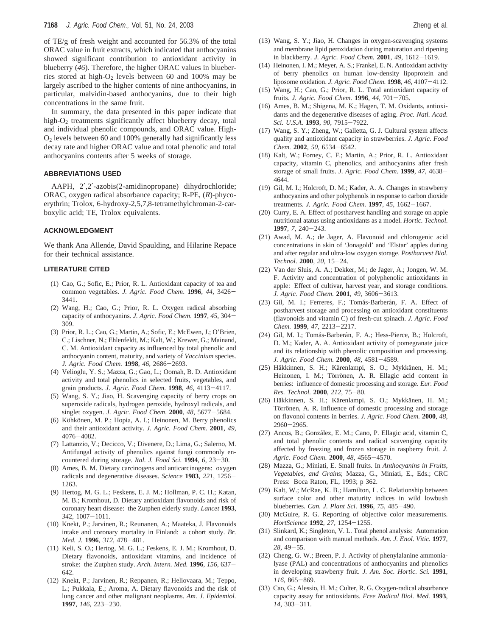of TE/g of fresh weight and accounted for 56.3% of the total ORAC value in fruit extracts, which indicated that anthocyanins showed significant contribution to antioxidant activity in blueberry (*46*). Therefore, the higher ORAC values in blueberries stored at high- $O_2$  levels between 60 and 100% may be largely ascribed to the higher contents of nine anthocyanins, in particular, malvidin-based anthocyanins, due to their high concentrations in the same fruit.

In summary, the data presented in this paper indicate that high- $O<sub>2</sub>$  treatments significantly affect blueberry decay, total and individual phenolic compounds, and ORAC value. High-O2 levels between 60 and 100% generally had significantly less decay rate and higher ORAC value and total phenolic and total anthocyanins contents after 5 weeks of storage.

#### **ABBREVIATIONS USED**

AAPH, 2′,2′-azobis(2-amidinopropane) dihydrochloride; ORAC, oxygen radical absorbance capacity; R-PE, (*R*)-phycoerythrin; Trolox, 6-hydroxy-2,5,7,8-tetramethylchroman-2-carboxylic acid; TE, Trolox equivalents.

#### **ACKNOWLEDGMENT**

We thank Ana Allende, David Spaulding, and Hilarine Repace for their technical assistance.

## **LITERATURE CITED**

- (1) Cao, G.; Sofic, E.; Prior, R. L. Antioxidant capacity of tea and common vegetables. *J. Agric. Food Chem*. **<sup>1996</sup>**, *<sup>44</sup>*, 3426- 3441.
- (2) Wang, H.; Cao, G.; Prior, R. L. Oxygen radical absorbing capacity of anthocyanins. *J. Agric. Food Chem*. **<sup>1997</sup>**, *<sup>45</sup>*, 304- 309.
- (3) Prior, R. L.; Cao, G.; Martin, A.; Sofic, E.; McEwen, J.; O'Brien, C.; Lischner, N.; Ehlenfeldt, M.; Kalt, W.; Krewer, G.; Mainand, C. M. Antioxidant capacity as influenced by total phenolic and anthocyanin content, maturity, and variety of *Vaccinium* species. *J. Agric. Food Chem.* **<sup>1998</sup>**, *<sup>46</sup>*, 2686-2693.
- (4) Velioglu, Y. S.; Mazza, G.; Gao, L.; Oomah, B. D. Antioxidant activity and total phenolics in selected fruits, vegetables, and grain products. *J. Agric. Food Chem*. **<sup>1998</sup>**, *<sup>46</sup>*, 4113-4117.
- (5) Wang, S. Y.; Jiao, H. Scavenging capacity of berry crops on superoxide radicals, hydrogen peroxide, hydroxyl radicals, and singlet oxygen. *J. Agric. Food Chem*. **<sup>2000</sup>**, *<sup>48</sup>*, 5677-5684.
- (6) Köhkönen, M. P.; Hopia, A. I.; Heinonen, M. Berry phenolics and their antioxidant activity. *J. Agric. Food Chem.* **2001**, *49*, <sup>4076</sup>-4082.
- (7) Lattanzio, V.; Decicco, V.; Divenere, D.; Lima, G.; Salerno, M. Antifungal activity of phenolics against fungi commonly encountered during storage. *Ital. J. Food Sci.* **<sup>1994</sup>**, *<sup>6</sup>*, 23-30.
- (8) Ames, B. M. Dietary carcinogens and anticarcinogens: oxygen radicals and degenerative diseases. *Science* **<sup>1983</sup>**, *<sup>221</sup>*, 1256- 1263.
- (9) Hertog, M. G. L.; Feskens, E. J. M.; Hollman, P. C. H.; Katan, M. B.; Kromhout, D. Dietary antioxidant flavonoids and risk of coronary heart disease: the Zutphen elderly study. *Lancet* **1993**, *<sup>34</sup>*2, 1007-1011.
- (10) Knekt, P.; Jarvinen, R.; Reunanen, A.; Maateka, J. Flavonoids intake and coronary mortality in Finland: a cohort study. *Br. Med. J.* **<sup>1996</sup>**, *<sup>312</sup>*, 478-481.
- (11) Keli, S. O.; Hertog, M. G. L.; Feskens, E. J. M.; Kromhout, D. Dietary flavonoids, antioxidant vitamins, and incidence of stroke: the Zutphen study. *Arch. Intern. Med.* **<sup>1996</sup>**, *<sup>156</sup>*, 637- 642.
- (12) Knekt, P.; Jarvinen, R.; Reppanen, R.; Heliovaara, M.; Teppo, L.; Pukkala, E.; Aroma, A. Dietary flavonoids and the risk of lung cancer and other malignant neoplasms. *Am. J. Epidemiol.* **<sup>1997</sup>**, *<sup>146</sup>*, 223-230.
- (13) Wang, S. Y.; Jiao, H. Changes in oxygen-scavenging systems and membrane lipid peroxidation during maturation and ripening in blackberry. *J. Agric. Food Chem.* **<sup>2001</sup>**, *<sup>49</sup>*, 1612-1619.
- (14) Heinonen, I. M.; Meyer, A. S.; Frankel, E. N. Antioxidant activity of berry phenolics on human low-density lipoprotein and liposome oxidation. *J. Agric. Food Chem.* **<sup>1998</sup>**, *<sup>46</sup>*, 4107-4112.
- (15) Wang, H.; Cao, G.; Prior, R. L. Total antioxidant capacity of fruits. *J. Agric. Food Chem.* **<sup>1996</sup>**, *<sup>44</sup>*, 701-705.
- (16) Ames, B. M.; Shigena, M. K.; Hagen, T. M. Oxidants, antioxidants and the degenerative diseases of aging. *Proc. Natl. Acad. Sci. U.S.A.* **<sup>1993</sup>**, *<sup>90</sup>*, 7915-7922.
- (17) Wang, S. Y.; Zheng, W.; Galletta, G. J. Cultural system affects quality and antioxidant capacity in strawberries. *J. Agric. Food Chem.* **<sup>2002</sup>**, *<sup>50</sup>*, 6534-6542.
- (18) Kalt, W.; Forney, C. F.; Martin, A.; Prior, R. L. Antioxidant capacity, vitamin C, phenolics, and anthocyanins after fresh storage of small fruits. *J. Agric. Food Chem.* **<sup>1999</sup>**, *<sup>47</sup>*, 4638- 4644.
- (19) Gil, M. I.; Holcroft, D. M.; Kader, A. A. Changes in strawberry anthocyanins and other polyphenols in response to carbon dioxide treatments. *J. Agric. Food Chem.* **<sup>1997</sup>**, *<sup>45</sup>*, 1662-1667.
- (20) Curry, E. A. Effect of postharvest handling and storage on apple nutritional atatus using antioxidants as a model. *Hortic. Technol.* **<sup>1997</sup>**, *<sup>7</sup>*, 240-243.
- (21) Awad, M. A.; de Jager, A. Flavonoid and chlorogenic acid concentrations in skin of 'Jonagold' and 'Elstar' apples during and after regular and ultra-low oxygen storage. Postharvest Biol. *Technol*. **<sup>2000</sup>**, *<sup>20</sup>*, 15-24.
- (22) Van der Sluis, A. A.; Dekker, M.; de Jager, A.; Jongen, W. M. F. Activity and concentration of polyphenolic antioxidants in apple: Effect of cultivar, harvest year, and storage conditions. *J. Agric. Food Chem.* **<sup>2001</sup>**, *<sup>49</sup>*, 3606-3613.
- (23) Gil, M. I.; Ferreres, F.; Tomás-Barberán, F. A. Effect of postharvest storage and processing on antioxidant constituents (flavonoids and vitamin C) of fresh-cut spinach. *J. Agric. Food Chem.* **<sup>1999</sup>**, *<sup>47</sup>*, 2213-2217.
- (24) Gil, M. I.; Tomás-Barberán, F. A.; Hess-Pierce, B.; Holcroft, D. M.; Kader, A. A. Antioxidant activity of pomegranate juice and its relationship with phenolic composition and processing. *J. Agric. Food Chem.* **<sup>2000</sup>**, *<sup>48</sup>*, 4581-4589.
- (25) Häkkinnen, S. H.; Kärenlampi, S. O.; Mykkänen, H. M.; Heinonen, I. M.; Törrönen, A. R. Ellagic acid content in berries: influence of domestic processing and storage. *Eur. Food Res. Technol.* **<sup>2000</sup>**, *<sup>212</sup>*, 75-80.
- (26) Häkkinnen, S. H.; Kärenlampi, S. O.; Mykkänen, H. M.; Törrönen, A. R. Influence of domestic processing and storage on flavonol contents in berries. *J. Agric. Food Chem.* **2000**, *48*, <sup>2960</sup>-2965.
- (27) Ancos, B.; González, E. M.; Cano, P. Ellagic acid, vitamin C, and total phenolic contents and radical scavenging capacity affected by freezing and frozen storage in raspberry fruit. *J. Agric. Food Chem.* **<sup>2000</sup>**, *<sup>48</sup>*, 4565-4570.
- (28) Mazza, G.; Miniati, E. Small fruits. In *Anthocyanins in Fruits, Vegetables, and Grain*s; Mazza, G., Miniati, E., Eds.; CRC Press: Boca Raton, FL, 1993; p 362.
- (29) Kalt, W.; McRae, K. B.; Hamilton, L. C. Relationship between surface color and other maturity indices in wild lowbush blueberries. *Can. J. Plant Sci*. **<sup>1996</sup>**, *<sup>75</sup>*, 485-490.
- (30) McGuire, R. G. Reporting of objective color measurements. *HortScience* **<sup>1992</sup>**, *<sup>27</sup>*, 1254-1255.
- (31) Slinkard, K.; Singleton, V. L. Total phenol analysis: Automation and comparison with manual methods. *Am. J. Enol. Vitic.* **1977**, *<sup>28</sup>*, 49-55.
- (32) Cheng, G. W.; Breen, P. J. Activity of phenylalanine ammonialyase (PAL) and concentrations of anthocyanins and phenolics in developing strawberry fruit. *J. Am. Soc. Hortic. Sci.* **1991**, *<sup>116</sup>*, 865-869.
- (33) Cao, G.; Alessio, H. M.; Culter, R. G. Oxygen-radical absorbance capacity assay for antioxidants. *Free Radical Biol. Med.* **1993**, *<sup>14</sup>*, 303-311.